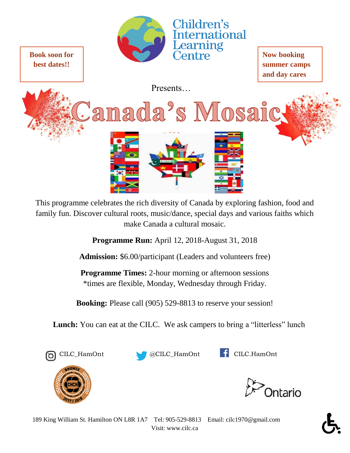

**Book soon for best dates!!**

**Now booking summer camps and day cares**

Presents…

Camada's Mosaic



This programme celebrates the rich diversity of Canada by exploring fashion, food and family fun. Discover cultural roots, music/dance, special days and various faiths which make Canada a cultural mosaic.

**Programme Run:** April 12, 2018-August 31, 2018

**Admission:** \$6.00/participant (Leaders and volunteers free)

**Programme Times:** 2-hour morning or afternoon sessions \*times are flexible, Monday, Wednesday through Friday.

**Booking:** Please call (905) 529-8813 to reserve your session!

**Lunch:** You can eat at the CILC. We ask campers to bring a "litterless" lunch







**Intario**